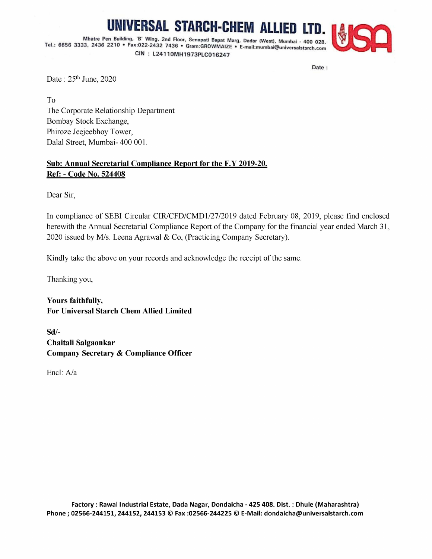## IIVERSAL STARCH-CHEM ALLIED LTD

Mhatre Pen Building, 'B' Wing, 2nd Floor, Senapati Bapat Marg, Dadar (West), Mumbai - 400 028. Tel.: 6656 3333, 2436 2210 \* Fax:022-2432 7436 \* Gram:GROWMAIZE « E-mail: mumbai@universalstarch.com CIN : L24110MH1973PLC016247



Date :

Date : 25<sup>th</sup> June, 2020

To The Corporate Relationship Department Bombay Stock Exchange, Phiroze Jeejeebhoy Tower, Dalal Street, Mumbai- 400 001.

## Sub: Annual Secretarial Compliance Report for the F.Y 2019-20. Ref: - Code No. 524408

Dear Sir,

In compliance of SEBI Circular CIR/CFD/CMD1/27/2019 dated February 08, 2019, please find enclosed herewith the Annual Secretarial Compliance Report of the Company for the financial year ended March 31, 2020 issued by M/s. Leena Agrawal & Co, (Practicing Company Secretary).

Kindly take the above on your records and acknowledge the receipt of the same.

Thanking you,

Yours faithfully, For Universal Starch Chem Allied Limited

Sd/- Chaitali Salgaonkar Company Secretary & Compliance Officer

Encl: A/a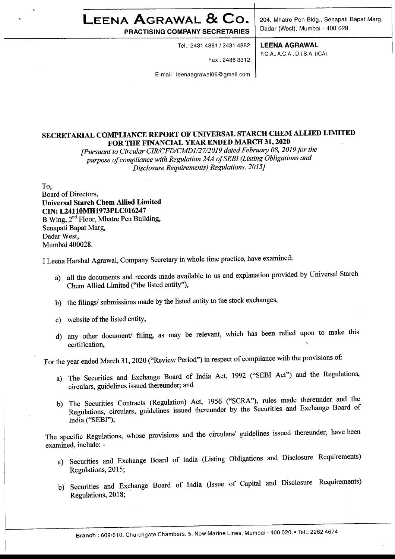## $\blacksquare$ <br>  $\blacksquare$   $\blacksquare$   $\blacksquare$   $\blacksquare$   $\blacksquare$   $\blacksquare$   $\blacksquare$   $\blacksquare$   $\blacksquare$   $\blacksquare$   $\blacksquare$   $\blacksquare$   $\blacksquare$   $\blacksquare$   $\blacksquare$   $\blacksquare$   $\blacksquare$   $\blacksquare$   $\blacksquare$   $\blacksquare$   $\blacksquare$   $\blacksquare$   $\blacksquare$   $\blacksquare$   $\blacksquare$   $\blacksquare$   $\blacksquare$   $\blacksquare$   $\blacksquare$   $\blacksquare$   $\bl$

Tel.: 2431 4881/2431 4882 | LEENA AGRAWAL

Fax : 2436 3312

E-mail : leenaagrawal06 @ gmail.com

PRACTISING COMPANY SECRETARIES | Dadar (West), Mumbai - 400 028.

F.C.A.,A.C.A.. D.LS.A. (ICA)

## SECRETARIAL COMPLIANCE REPORT OF UNIVERSAL STARCH CHEM ALLIED LIMITED FOR THE FINANCIAL YEAR ENDED MARCH 31, 2020

[Pursuant to Circular CIR/CFD/CMD1/27/2019 dated F ebruary 08, 2019 for the purpose of compliance with Regulation 24A of SEBI (Listing Obligations and — Disclosure Requirements) Regulations, 2015]

To,

Board of Directors, Universal Starch Chem Allied Limited CIN: L24110MH1973PLC016247 B Wing, 2<sup>nd</sup> Floor, Mhatre Pen Building, Senapati Bapat Marg, Dadar West, Mumbai 400028.

<sup>I</sup>Leena Harshal Agrawal, Company Secretary in whole time practice, have examined:

- a) all the documents and records made available to us and explanation provided by Universal Starch Chem Allied Limited ("the listed entity"),
- b) the filings/ submissions made by the listed entity to the stock exchanges,
- c) website of the listed entity,
- d) any other document/ filing, as may be relevant, which has been relied upon to make this  $\frac{1}{2}$  certification,

For the year ended March 31, 2020 ("Review Period") in respect of compliance with the provisions of:

- a) The Securities and Exchange Board of India Act, 1992 ("SEBI Act") and the Regulations, circulars, guidelines issued thereunder; and
- b) The Securities Contracts (Regulation) Act, 1956 ("SCRA"), rules made thereunder and the Regulations, circulars, guidelines issued thereunder by the Securities and Exchange Board of India ("SEBI");

The specific Regulations, whose provisions and the circulars/ guidelines issued thereunder, have been examined, include: -

- a) Securities and Exchange Board of India (Listing Obligations and Disclosure Requirements) Regulations, 2015;
- b) Securities and Exchange Board of India (Issue of Capital and Disclosure Requirements) Regulations, 2018;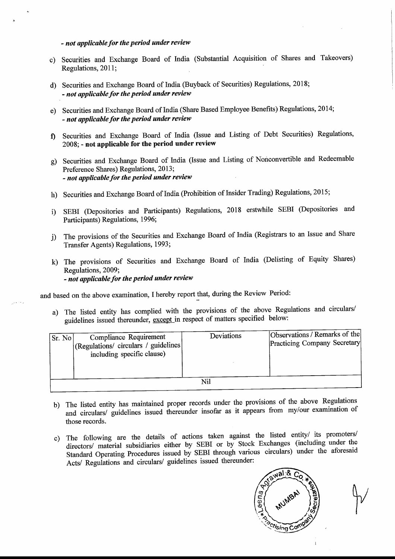- not applicable for the period under review

- c) Securities and Exchange Board of India (Substantial Acquisition of Shares and Takeovers) Regulations, 2011;
- Securities and Exchange Board of India (Buyback of Securities) Regulations, 2018; - not applicable for the period under review
- Securities and Exchange Board of India (Share Based Employee Benefits) Regulations, 2014; - not applicable for the period under review
- Securities and Exchange Board of India (Issue and Listing of Debt Securities) Regulations, 2008; - not applicable for the period under review
- g) Securities and Exchange Board of India (Issue and Listing of Nonconvertible and Redeemable Preference Shares) Regulations, 2013; - not applicable for the period under review *not applicable for the period under review*<br>c) Securities and Exchange Board of India (Sul<br>Regulations, 2011;<br>d) Securities and Exchange Board of India (Buybaa<br>*not applicable for the period under review*<br>e) Securities a
- h) Securities and Exchange Board of India (Prohibition of Insider Trading) Regulations, 2015;
- SEBI (Depositories and Participants) Regulations, 2018 erstwhile SEBI (Depositories and Participants) Regulations, 1996;
- i) The provisions of the Securities and Exchange Board of India (Registrars to an Issue and Share Transfer Agents) Regulations, 1993;
- k) The provisions of Securities and Exchange Board of India (Delisting of Equity Shares) Regulations, 2009; - not applicable for the period under review

and based on the above examination, I hereby report that, during the Review Period:

|              | $\mathbb{R}$ guiations, $\mathbb{Z}$ 011,                                                                                                                                           |                                                                                                                                      |            |                                                               |  |  |  |  |  |
|--------------|-------------------------------------------------------------------------------------------------------------------------------------------------------------------------------------|--------------------------------------------------------------------------------------------------------------------------------------|------------|---------------------------------------------------------------|--|--|--|--|--|
|              |                                                                                                                                                                                     | d) Securities and Exchange Board of India (Buyback of Securities) Regulations, 2018;<br>- not applicable for the period under review |            |                                                               |  |  |  |  |  |
| e)           | Securities and Exchange Board of India (Share Based Employee Benefits) Regulations, 2014;<br>- not applicable for the period under review                                           |                                                                                                                                      |            |                                                               |  |  |  |  |  |
| $\mathbf f$  | Securities and Exchange Board of India (Issue and Listing of Debt Securities) Regulations,<br>2008; - not applicable for the period under review                                    |                                                                                                                                      |            |                                                               |  |  |  |  |  |
| g)           | Securities and Exchange Board of India (Issue and Listing of Nonconvertible and Redeemable<br>Preference Shares) Regulations, 2013;<br>- not applicable for the period under review |                                                                                                                                      |            |                                                               |  |  |  |  |  |
| h)           | Securities and Exchange Board of India (Prohibition of Insider Trading) Regulations, 2015;                                                                                          |                                                                                                                                      |            |                                                               |  |  |  |  |  |
| i)           | SEBI (Depositories and Participants) Regulations, 2018 erstwhile SEBI (Depositories<br>and<br>Participants) Regulations, 1996;                                                      |                                                                                                                                      |            |                                                               |  |  |  |  |  |
| $\mathbf{j}$ | The provisions of the Securities and Exchange Board of India (Registrars to an Issue and Share<br>Transfer Agents) Regulations, 1993;                                               |                                                                                                                                      |            |                                                               |  |  |  |  |  |
| $\mathbf{k}$ | The provisions of Securities and Exchange Board of India (Delisting of Equity Shares)<br>Regulations, 2009;<br>- not applicable for the period under review                         |                                                                                                                                      |            |                                                               |  |  |  |  |  |
|              | d based on the above examination, I hereby report that, during the Review Period:                                                                                                   |                                                                                                                                      |            |                                                               |  |  |  |  |  |
|              | The listed entity has complied with the provisions of the above Regulations and circulars/<br>a)<br>guidelines issued thereunder, except in respect of matters specified below:     |                                                                                                                                      |            |                                                               |  |  |  |  |  |
|              | <b>Compliance Requirement</b><br>Sr. No<br>(Regulations/ circulars / guidelines<br>including specific clause)                                                                       |                                                                                                                                      | Deviations | Observations / Remarks of the<br>Practicing Company Secretary |  |  |  |  |  |
|              | Nil                                                                                                                                                                                 |                                                                                                                                      |            |                                                               |  |  |  |  |  |

- b) The listed entity has maintained proper records under the provisions of the above Regulations and circulars/ guidelines issued thereunder insofar as it appears from my/our examination of those records.
- The following are the details of actions taken against the listed entity/ its promoters/  $\mathbf{c}$ directors/ material subsidiaries either by SEBI or by Stock Exchanges (including under the Standard Operating Procedures issued by SEBI through various circulars) under the aforesaid Acts/ Regulations and circulars/ guidelines issued thereunder: